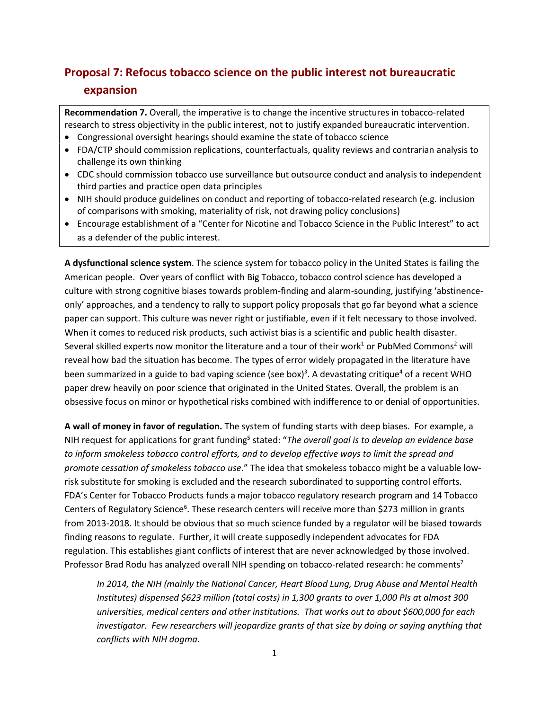# **Proposal 7: Refocus tobacco science on the public interest not bureaucratic expansion**

**Recommendation 7.** Overall, the imperative is to change the incentive structures in tobacco-related research to stress objectivity in the public interest, not to justify expanded bureaucratic intervention.

- Congressional oversight hearings should examine the state of tobacco science
- FDA/CTP should commission replications, counterfactuals, quality reviews and contrarian analysis to challenge its own thinking
- CDC should commission tobacco use surveillance but outsource conduct and analysis to independent third parties and practice open data principles
- NIH should produce guidelines on conduct and reporting of tobacco-related research (e.g. inclusion of comparisons with smoking, materiality of risk, not drawing policy conclusions)
- Encourage establishment of a "Center for Nicotine and Tobacco Science in the Public Interest" to act as a defender of the public interest.

**A dysfunctional science system**. The science system for tobacco policy in the United States is failing the American people. Over years of conflict with Big Tobacco, tobacco control science has developed a culture with strong cognitive biases towards problem-finding and alarm-sounding, justifying 'abstinenceonly' approaches, and a tendency to rally to support policy proposals that go far beyond what a science paper can support. This culture was never right or justifiable, even if it felt necessary to those involved. When it comes to reduced risk products, such activist bias is a scientific and public health disaster. Several skilled experts now monitor the literature and a tour of their work<sup>1</sup> or PubMed Commons<sup>2</sup> will reveal how bad the situation has become. The types of error widely propagated in the literature have been summarized in a guide to bad vaping science (see box)<sup>3</sup>. A devastating critique<sup>4</sup> of a recent WHO paper drew heavily on poor science that originated in the United States. Overall, the problem is an obsessive focus on minor or hypothetical risks combined with indifference to or denial of opportunities.

**A wall of money in favor of regulation.** The system of funding starts with deep biases. For example, a NIH request for applications for grant funding5 stated: "*The overall goal is to develop an evidence base to inform smokeless tobacco control efforts, and to develop effective ways to limit the spread and promote cessation of smokeless tobacco use*." The idea that smokeless tobacco might be a valuable lowrisk substitute for smoking is excluded and the research subordinated to supporting control efforts. FDA's Center for Tobacco Products funds a major tobacco regulatory research program and 14 Tobacco Centers of Regulatory Science<sup>6</sup>. These research centers will receive more than \$273 million in grants from 2013-2018. It should be obvious that so much science funded by a regulator will be biased towards finding reasons to regulate. Further, it will create supposedly independent advocates for FDA regulation. This establishes giant conflicts of interest that are never acknowledged by those involved. Professor Brad Rodu has analyzed overall NIH spending on tobacco-related research: he comments<sup>7</sup>

*In 2014, the NIH (mainly the National Cancer, Heart Blood Lung, Drug Abuse and Mental Health Institutes) dispensed \$623 million (total costs) in 1,300 grants to over 1,000 PIs at almost 300 universities, medical centers and other institutions. That works out to about \$600,000 for each*  investigator. Few researchers will jeopardize grants of that size by doing or saying anything that *conflicts with NIH dogma.*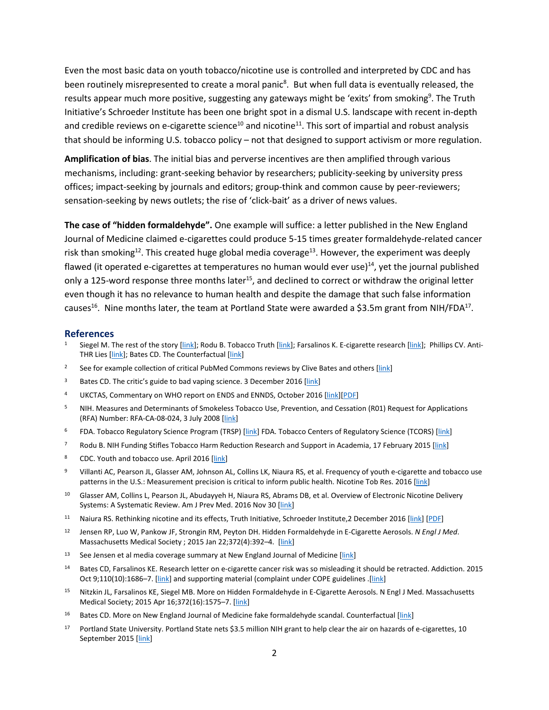Even the most basic data on youth tobacco/nicotine use is controlled and interpreted by CDC and has been routinely misrepresented to create a moral panic<sup>8</sup>. But when full data is eventually released, the results appear much more positive, suggesting any gateways might be 'exits' from smoking<sup>9</sup>. The Truth Initiative's Schroeder Institute has been one bright spot in a dismal U.S. landscape with recent in-depth and credible reviews on e-cigarette science<sup>10</sup> and nicotine<sup>11</sup>. This sort of impartial and robust analysis that should be informing U.S. tobacco policy – not that designed to support activism or more regulation.

**Amplification of bias**. The initial bias and perverse incentives are then amplified through various mechanisms, including: grant-seeking behavior by researchers; publicity-seeking by university press offices; impact-seeking by journals and editors; group-think and common cause by peer-reviewers; sensation-seeking by news outlets; the rise of 'click-bait' as a driver of news values.

**The case of "hidden formaldehyde".** One example will suffice: a letter published in the New England Journal of Medicine claimed e-cigarettes could produce 5-15 times greater formaldehyde-related cancer risk than smoking<sup>12</sup>. This created huge global media coverage<sup>13</sup>. However, the experiment was deeply flawed (it operated e-cigarettes at temperatures no human would ever use) $^{14}$ , yet the journal published only a 125-word response three months later<sup>15</sup>, and declined to correct or withdraw the original letter even though it has no relevance to human health and despite the damage that such false information causes<sup>16</sup>. Nine months later, the team at Portland State were awarded a \$3.5m grant from NIH/FDA<sup>17</sup>.

#### **References**

- Siegel M. The rest of the story [\[link\]](http://www.ecigarette-research.org/research/index.php); Rodu B. Tobacco Truth [link]; Farsalinos K. E-cigarette research [link]; Phillips CV. Anti-THR Lies [\[link\]](http://www.clivebates.com/); Bates CD. The Counterfactual [link]
- <sup>2</sup> See for example collection of critical PubMed Commons reviews by Clive Bates and others [\[link\]](http://www.ncbi.nlm.nih.gov/sites/myncbi/clive.bates.1/collections/50103881/public/)
- <sup>3</sup> Bates CD. The critic's guide to bad vaping science. 3 December 2016 [\[link\]](http://www.clivebates.com/documents/BadScienceBriefing1.pdf)
- <sup>4</sup> UKCTAS, Commentary on WHO report on ENDS and ENNDS, October 2016 [\[link\]](http://ukctas.net/news/commentary-on-WHO-report-on-ENDS&ENNDS.html)[\[PDF\]](http://ukctas.net/pdfs/UKCTAS-response-to-WHO-ENDS-report-26.10.2016.pdf)
- <sup>5</sup> NIH. Measures and Determinants of Smokeless Tobacco Use, Prevention, and Cessation (R01) Request for Applications (RFA) Number: RFA-CA-08-024, 3 July 2008 [\[link\]](https://grants.nih.gov/grants/guide/rfa-files/RFA-CA-08-024.html)
- <sup>6</sup> FDA. Tobacco Regulatory Science Program (TRSP) [\[link\]](http://www.fda.gov/TobaccoProducts/PublicHealthScienceResearch/Research/ucm369005.htm) FDA. Tobacco Centers of Regulatory Science (TCORS) [link]
- <sup>7</sup> Rodu B. NIH Funding Stifles Tobacco Harm Reduction Research and Support in Academia, 17 February 2015 [\[link\]](http://rodutobaccotruth.blogspot.co.uk/2015/02/nih-funding-stifles-tobacco-harm.html)
- 8 CDC. Youth and tobacco use. April 2016 [\[link\]](https://www.cdc.gov/tobacco/data_statistics/fact_sheets/youth_data/tobacco_use/)
- <sup>9</sup> Villanti AC, Pearson JL, Glasser AM, Johnson AL, Collins LK, Niaura RS, et al. Frequency of youth e-cigarette and tobacco use patterns in the U.S.: Measurement precision is critical to inform public health. Nicotine Tob Res. 2016 [\[link\]](http://ntr.oxfordjournals.org/content/early/2016/12/24/ntr.ntw388.abstract)
- <sup>10</sup> Glasser AM, Collins L, Pearson JL, Abudayyeh H, Niaura RS, Abrams DB, et al. Overview of Electronic Nicotine Delivery Systems: A Systematic Review. Am J Prev Med. 2016 Nov 30 [\[link\]](http://www.ajpmonline.org/article/S0749-3797(16)30573-6/abstract)
- 11 Naiura RS. Rethinking nicotine and its effects, Truth Initiative, Schroeder Institute,2 December 2016 [\[link\]](http://truthinitiative.org/news/re-thinking-nicotine-and-its-effects) [\[PDF\]](http://truthinitiative.org/sites/default/files/ReThinking-Nicotine.pdf)
- <sup>12</sup> Jensen RP, Luo W, Pankow JF, Strongin RM, Peyton DH. Hidden Formaldehyde in E-Cigarette Aerosols. *N Engl J Med*. Massachusetts Medical Society ; 2015 Jan 22;372(4):392–4. [\[link\]](http://www.nejm.org/doi/full/10.1056/NEJMc1413069#t=article)
- <sup>13</sup> See Jensen et al media coverage summary at New England Journal of Medicine [\[link\]](http://www.nejm.org/doi/full/10.1056/NEJMc1413069#t=metrics)
- <sup>14</sup> Bates CD, Farsalinos KE. Research letter on e-cigarette cancer risk was so misleading it should be retracted. Addiction. 2015 Oct 9;110(10):1686-7. [\[link\]](http://onlinelibrary.wiley.com/store/10.1111/add.13018/asset/supinfo/add13018-sup-0001-Supplementary.pdf?v=1&s=4f57349e6de3ca1fce6b8e533eeb85d7b0350b82) and supporting material (complaint under COPE guidelines .[link]
- <sup>15</sup> Nitzkin JL, Farsalinos KE, Siegel MB. More on Hidden Formaldehyde in E-Cigarette Aerosols. N Engl J Med. Massachusetts Medical Society; 2015 Apr 16;372(16):1575–7. [\[link\]](http://www.nejm.org/doi/full/10.1056/NEJMc1502242#t=article)
- <sup>16</sup> Bates CD. More on New England Journal of Medicine fake formaldehyde scandal. Counterfactual [\[link\]](http://www.clivebates.com/?p=3441)
- <sup>17</sup> Portland State University. Portland State nets \$3.5 million NIH grant to help clear the air on hazards of e-cigarettes, 10 September 2015 [\[link\]](https://www.pdx.edu/news/portland-state-nets-35-million-nih-grant-help-clear-air-hazards-e-cigarettes)